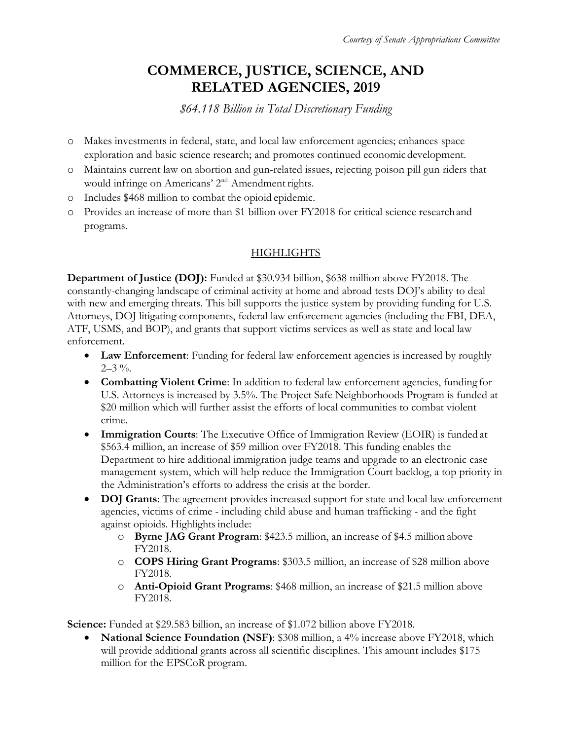## **COMMERCE, JUSTICE, SCIENCE, AND RELATED AGENCIES, 2019**

*\$64.118 Billion in Total Discretionary Funding*

- o Makes investments in federal, state, and local law enforcement agencies; enhances space exploration and basic science research; and promotes continued economic development.
- o Maintains current law on abortion and gun-related issues, rejecting poison pill gun riders that would infringe on Americans' 2<sup>nd</sup> Amendment rights.
- o Includes \$468 million to combat the opioid epidemic.
- o Provides an increase of more than \$1 billion over FY2018 for critical science researchand programs.

## **HIGHLIGHTS**

**Department of Justice (DOJ):** Funded at \$30.934 billion, \$638 million above FY2018. The constantly-changing landscape of criminal activity at home and abroad tests DOJ's ability to deal with new and emerging threats. This bill supports the justice system by providing funding for U.S. Attorneys, DOJ litigating components, federal law enforcement agencies (including the FBI, DEA, ATF, USMS, and BOP), and grants that support victims services as well as state and local law enforcement.

- **Law Enforcement**: Funding for federal law enforcement agencies is increased by roughly  $2-3\%$ .
- **Combatting Violent Crime**: In addition to federal law enforcement agencies, funding for U.S. Attorneys is increased by 3.5%. The Project Safe Neighborhoods Program is funded at \$20 million which will further assist the efforts of local communities to combat violent crime.
- **Immigration Courts**: The Executive Office of Immigration Review (EOIR) is funded at \$563.4 million, an increase of \$59 million over FY2018. This funding enables the Department to hire additional immigration judge teams and upgrade to an electronic case management system, which will help reduce the Immigration Court backlog, a top priority in the Administration's efforts to address the crisis at the border.
- **DOJ Grants**: The agreement provides increased support for state and local law enforcement agencies, victims of crime - including child abuse and human trafficking - and the fight against opioids. Highlights include:
	- o **Byrne JAG Grant Program**: \$423.5 million, an increase of \$4.5 million above FY2018.
	- o **COPS Hiring Grant Programs**: \$303.5 million, an increase of \$28 million above FY2018.
	- o **Anti-Opioid Grant Programs**: \$468 million, an increase of \$21.5 million above FY2018.

Science: Funded at \$29.583 billion, an increase of \$1.072 billion above FY2018.

• **National Science Foundation (NSF)**: \$308 million, a 4% increase above FY2018, which will provide additional grants across all scientific disciplines. This amount includes \$175 million for the EPSCoR program.